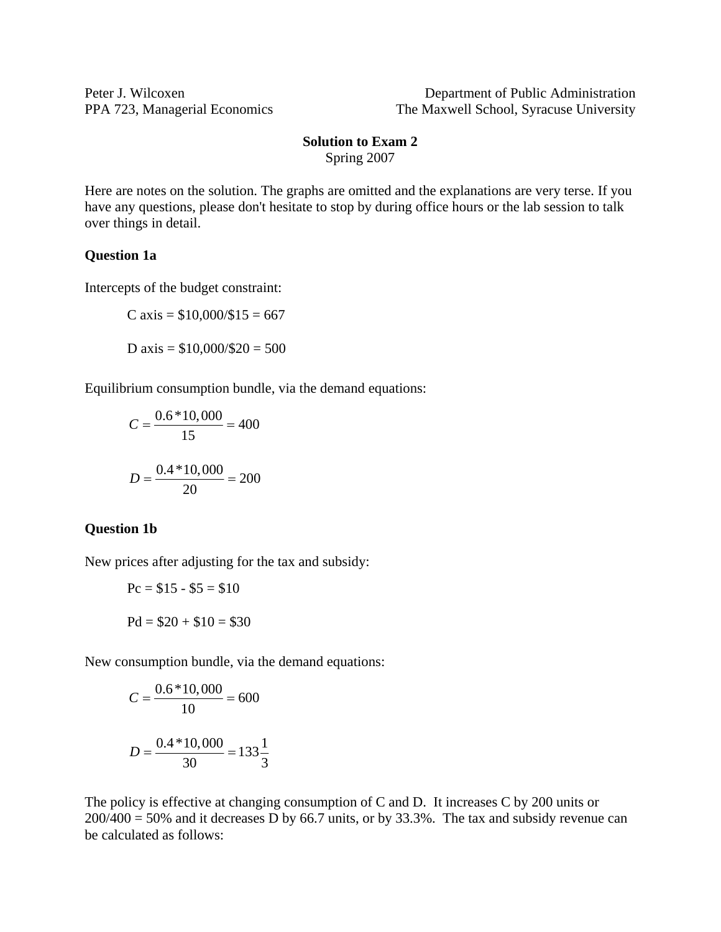Peter J. Wilcoxen Department of Public Administration PPA 723, Managerial Economics The Maxwell School, Syracuse University

#### **Solution to Exam 2**  Spring 2007

Here are notes on the solution. The graphs are omitted and the explanations are very terse. If you have any questions, please don't hesitate to stop by during office hours or the lab session to talk over things in detail.

### **Question 1a**

Intercepts of the budget constraint:

$$
C axis = $10,000/\$15 = 667
$$

D axis =  $$10,000/\$20 = 500$ 

Equilibrium consumption bundle, via the demand equations:

$$
C = \frac{0.6 * 10,000}{15} = 400
$$

$$
D = \frac{0.4 * 10,000}{20} = 200
$$

#### **Question 1b**

New prices after adjusting for the tax and subsidy:

$$
Pc = $15 - $5 = $10
$$

$$
Pd = $20 + $10 = $30
$$

New consumption bundle, via the demand equations:

$$
C = \frac{0.6 * 10,000}{10} = 600
$$

$$
D = \frac{0.4 * 10,000}{30} = 133\frac{1}{3}
$$

The policy is effective at changing consumption of C and D. It increases C by 200 units or  $200/400 = 50\%$  and it decreases D by 66.7 units, or by 33.3%. The tax and subsidy revenue can be calculated as follows: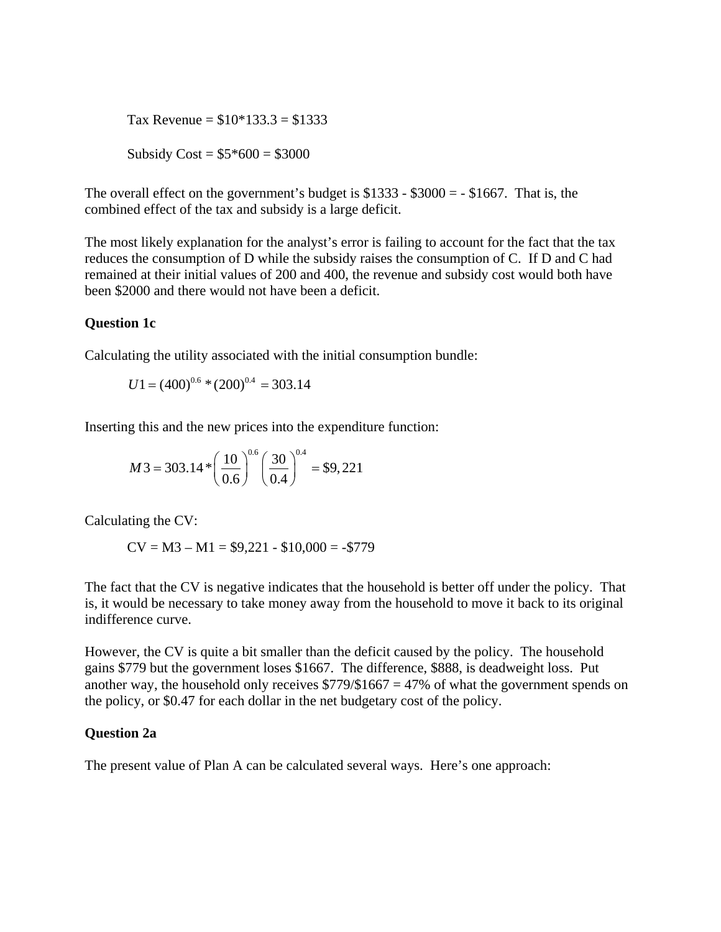Tax Revenue =  $$10*133.3 = $1333$ Subsidy  $Cost = $5*600 = $3000$ 

The overall effect on the government's budget is  $$1333 - $3000 = - $1667$ . That is, the combined effect of the tax and subsidy is a large deficit.

The most likely explanation for the analyst's error is failing to account for the fact that the tax reduces the consumption of D while the subsidy raises the consumption of C. If D and C had remained at their initial values of 200 and 400, the revenue and subsidy cost would both have been \$2000 and there would not have been a deficit.

# **Question 1c**

Calculating the utility associated with the initial consumption bundle:

$$
U1 = (400)^{0.6} * (200)^{0.4} = 303.14
$$

Inserting this and the new prices into the expenditure function:

$$
M3 = 303.14 * \left(\frac{10}{0.6}\right)^{0.6} \left(\frac{30}{0.4}\right)^{0.4} = $9,221
$$

Calculating the CV:

$$
CV = M3 - M1 = $9,221 - $10,000 = -$779
$$

The fact that the CV is negative indicates that the household is better off under the policy. That is, it would be necessary to take money away from the household to move it back to its original indifference curve.

However, the CV is quite a bit smaller than the deficit caused by the policy. The household gains \$779 but the government loses \$1667. The difference, \$888, is deadweight loss. Put another way, the household only receives  $$779/$1667 = 47%$  of what the government spends on the policy, or \$0.47 for each dollar in the net budgetary cost of the policy.

# **Question 2a**

The present value of Plan A can be calculated several ways. Here's one approach: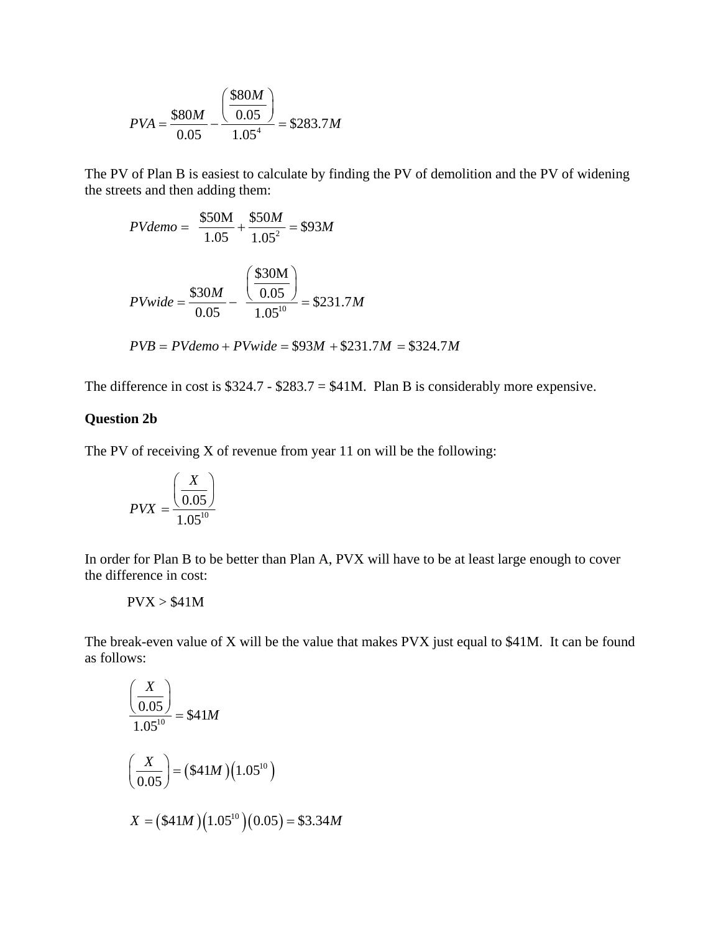$$
PVA = \frac{\$80M}{0.05} - \frac{\left(\frac{\$80M}{0.05}\right)}{1.05^4} = \$283.7M
$$

The PV of Plan B is easiest to calculate by finding the PV of demolition and the PV of widening the streets and then adding them:

$$
PVdemo = \frac{\$50M}{1.05} + \frac{\$50M}{1.05^2} = \$93M
$$
  

$$
PVwide = \frac{\$30M}{0.05} - \frac{\left(\frac{\$30M}{0.05}\right)}{1.05^{10}} = \$231.7M
$$
  

$$
PVB = PVdemo + PVwide = \$93M + \$231.7M = \$324.7M
$$

The difference in cost is  $$324.7 - $283.7 = $41M$ . Plan B is considerably more expensive.

#### **Question 2b**

The PV of receiving X of revenue from year 11 on will be the following:

$$
PVX = \frac{\left(\frac{X}{0.05}\right)}{1.05^{10}}
$$

In order for Plan B to be better than Plan A, PVX will have to be at least large enough to cover the difference in cost:

 $PVX > $41M$ 

The break-even value of X will be the value that makes PVX just equal to \$41M. It can be found as follows:

$$
\frac{\left(\frac{X}{0.05}\right)}{1.05^{10}} = $41M
$$
\n
$$
\left(\frac{X}{0.05}\right) = ($41M)(1.05^{10})
$$
\n
$$
X = ($41M)(1.05^{10})(0.05) = $3.34M
$$